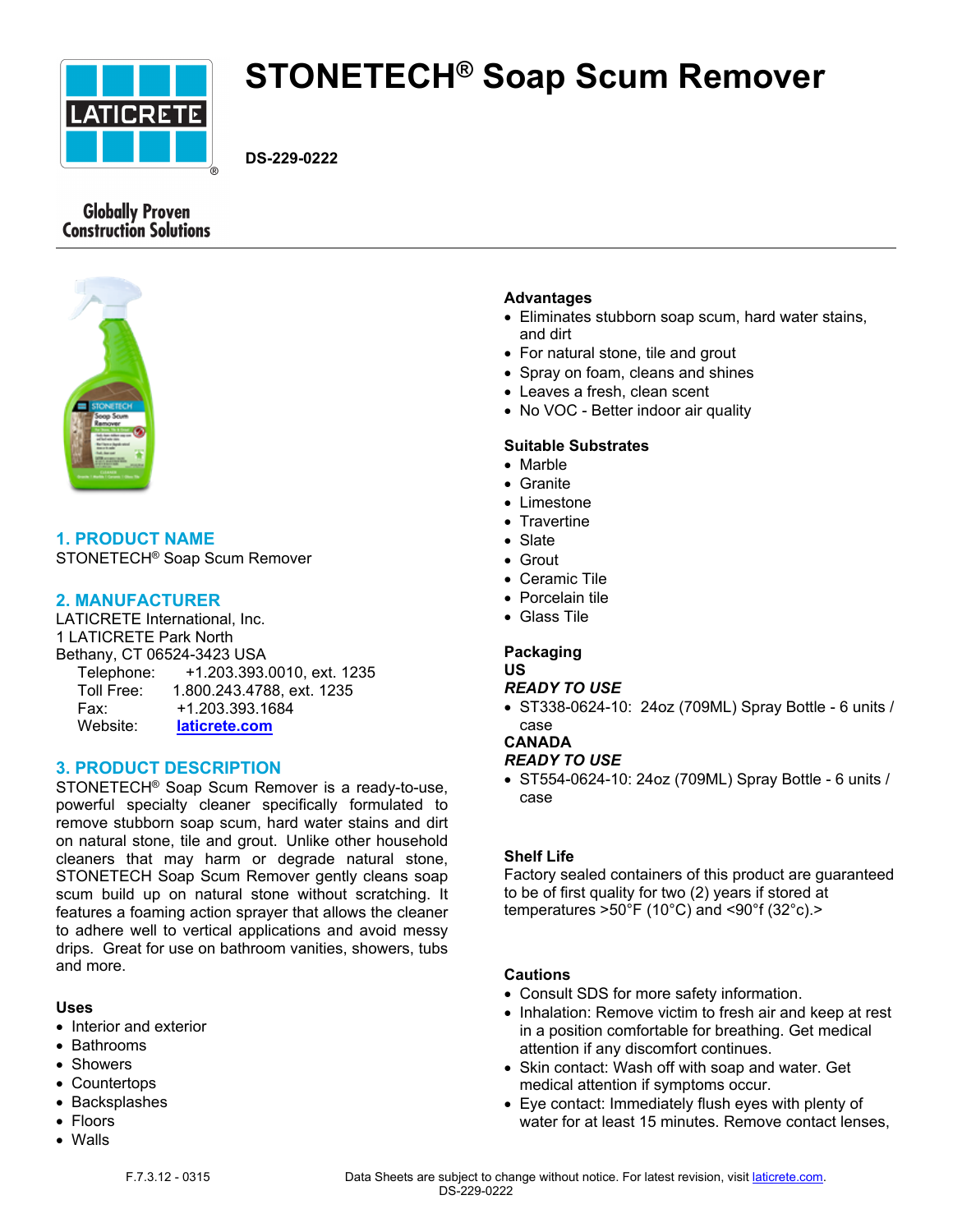

# **STONETECH® Soap Scum Remover**

**DS-229-0222**

# **Globally Proven Construction Solutions**



# **1. PRODUCT NAME**

STONETECH® Soap Scum Remover

## **2. MANUFACTURER**

LATICRETE International, Inc. 1 LATICRETE Park North Bethany, CT 06524-3423 USA Telephone: +1.203.393.0010, ext. 1235 Toll Free: 1.800.243.4788, ext. 1235 Fax: +1.203.393.1684 Website: **[laticrete.com](https://laticrete.com/)**

## **3. PRODUCT DESCRIPTION**

STONETECH® Soap Scum Remover is a ready-to-use, powerful specialty cleaner specifically formulated to remove stubborn soap scum, hard water stains and dirt on natural stone, tile and grout. Unlike other household cleaners that may harm or degrade natural stone, STONETECH Soap Scum Remover gently cleans soap scum build up on natural stone without scratching. It features a foaming action sprayer that allows the cleaner to adhere well to vertical applications and avoid messy drips. Great for use on bathroom vanities, showers, tubs and more.

#### **Uses**

- Interior and exterior
- Bathrooms
- Showers
- Countertops
- Backsplashes
- Floors
- Walls

## **Advantages**

- Eliminates stubborn soap scum, hard water stains, and dirt
- For natural stone, tile and grout
- Spray on foam, cleans and shines
- Leaves a fresh, clean scent
- No VOC Better indoor air quality

## **Suitable Substrates**

- Marble
- Granite
- Limestone
- Travertine
- Slate
- Grout
- Ceramic Tile
- Porcelain tile
- Glass Tile

#### **Packaging US**

## *READY TO USE*

• ST338-0624-10: 24oz (709ML) Spray Bottle - 6 units / case

## **CANADA**

## *READY TO USE*

• ST554-0624-10: 24oz (709ML) Spray Bottle - 6 units / case

## **Shelf Life**

Factory sealed containers of this product are guaranteed to be of first quality for two (2) years if stored at temperatures  $>50^{\circ}$ F (10 $^{\circ}$ C) and <90 $^{\circ}$ f (32 $^{\circ}$ c). $>$ 

## **Cautions**

- Consult SDS for more safety information.
- Inhalation: Remove victim to fresh air and keep at rest in a position comfortable for breathing. Get medical attention if any discomfort continues.
- Skin contact: Wash off with soap and water. Get medical attention if symptoms occur.
- Eye contact: Immediately flush eyes with plenty of water for at least 15 minutes. Remove contact lenses,